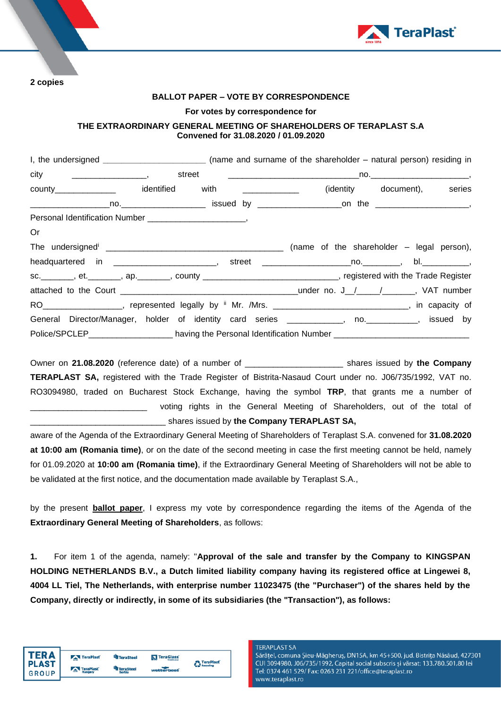

**2 copies** 

### **BALLOT PAPER – VOTE BY CORRESPONDENCE**

### **For votes by correspondence for**

# **THE EXTRAORDINARY GENERAL MEETING OF SHAREHOLDERS OF TERAPLAST S.A Convened for 31.08.2020 / 01.09.2020**

|                                                                                                                | I, the undersigned _________________________________ (name and surname of the shareholder – natural person) residing in |  |                             |  |
|----------------------------------------------------------------------------------------------------------------|-------------------------------------------------------------------------------------------------------------------------|--|-----------------------------|--|
|                                                                                                                |                                                                                                                         |  |                             |  |
| county_______________ identified with _____________                                                            |                                                                                                                         |  | (identity document), series |  |
|                                                                                                                |                                                                                                                         |  |                             |  |
|                                                                                                                |                                                                                                                         |  |                             |  |
| Or                                                                                                             |                                                                                                                         |  |                             |  |
|                                                                                                                |                                                                                                                         |  |                             |  |
|                                                                                                                |                                                                                                                         |  |                             |  |
| sc.________, et._______, ap._______, county ____________________________, registered with the Trade Register   |                                                                                                                         |  |                             |  |
|                                                                                                                |                                                                                                                         |  |                             |  |
| RO ___________________, represented legally by " Mr. /Mrs. _______________________________, in capacity of     |                                                                                                                         |  |                             |  |
| General Director/Manager, holder of identity card series ____________, no. __________, issued by               |                                                                                                                         |  |                             |  |
| Police/SPCLEP__________________________ having the Personal Identification Number ____________________________ |                                                                                                                         |  |                             |  |

Owner on **21.08.2020** (reference date) of a number of \_\_\_\_\_\_\_\_\_\_\_\_\_\_\_\_\_\_\_\_\_ shares issued by **the Company TERAPLAST SA,** registered with the Trade Register of Bistrita-Nasaud Court under no. J06/735/1992, VAT no. RO3094980, traded on Bucharest Stock Exchange, having the symbol **TRP**, that grants me a number of voting rights in the General Meeting of Shareholders, out of the total of \_\_\_\_\_\_\_\_\_\_\_\_\_\_\_\_\_\_\_\_\_\_\_\_\_\_\_\_\_ shares issued by **the Company TERAPLAST SA,**

aware of the Agenda of the Extraordinary General Meeting of Shareholders of Teraplast S.A. convened for **31.08.2020 at 10:00 am (Romania time)**, or on the date of the second meeting in case the first meeting cannot be held, namely for 01.09.2020 at **10:00 am (Romania time)**, if the Extraordinary General Meeting of Shareholders will not be able to be validated at the first notice, and the documentation made available by Teraplast S.A.,

by the present **ballot paper**, I express my vote by correspondence regarding the items of the Agenda of the **Extraordinary General Meeting of Shareholders**, as follows:

**1.** For item 1 of the agenda, namely: "**Approval of the sale and transfer by the Company to KINGSPAN HOLDING NETHERLANDS B.V., a Dutch limited liability company having its registered office at Lingewei 8, 4004 LL Tiel, The Netherlands, with enterprise number 11023475 (the "Purchaser") of the shares held by the Company, directly or indirectly, in some of its subsidiaries (the "Transaction"), as follows:**



#### **TERAPLAST SA**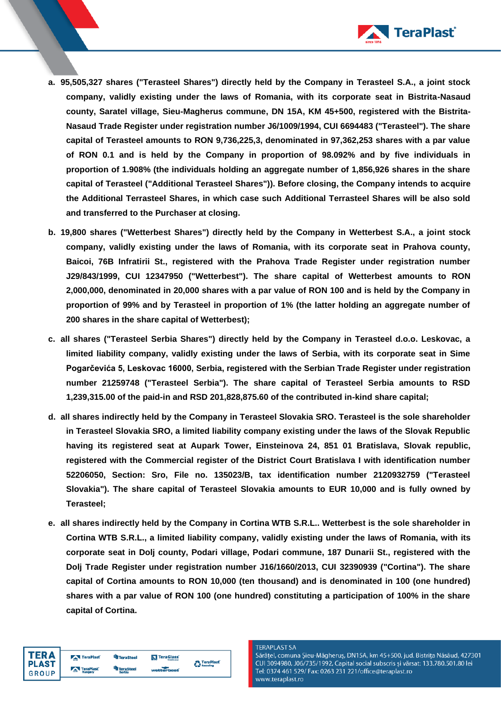

- **a. 95,505,327 shares ("Terasteel Shares") directly held by the Company in Terasteel S.A., a joint stock company, validly existing under the laws of Romania, with its corporate seat in Bistrita-Nasaud county, Saratel village, Sieu-Magherus commune, DN 15A, KM 45+500, registered with the Bistrita-Nasaud Trade Register under registration number J6/1009/1994, CUI 6694483 ("Terasteel"). The share capital of Terasteel amounts to RON 9,736,225,3, denominated in 97,362,253 shares with a par value of RON 0.1 and is held by the Company in proportion of 98.092% and by five individuals in proportion of 1.908% (the individuals holding an aggregate number of 1,856,926 shares in the share capital of Terasteel ("Additional Terasteel Shares")). Before closing, the Company intends to acquire the Additional Terrasteel Shares, in which case such Additional Terrasteel Shares will be also sold and transferred to the Purchaser at closing.**
- **b. 19,800 shares ("Wetterbest Shares") directly held by the Company in Wetterbest S.A., a joint stock company, validly existing under the laws of Romania, with its corporate seat in Prahova county, Baicoi, 76B Infratirii St., registered with the Prahova Trade Register under registration number J29/843/1999, CUI 12347950 ("Wetterbest"). The share capital of Wetterbest amounts to RON 2,000,000, denominated in 20,000 shares with a par value of RON 100 and is held by the Company in proportion of 99% and by Terasteel in proportion of 1% (the latter holding an aggregate number of 200 shares in the share capital of Wetterbest);**
- **c. all shares ("Terasteel Serbia Shares") directly held by the Company in Terasteel d.o.o. Leskovac, a limited liability company, validly existing under the laws of Serbia, with its corporate seat in Sime Pogarčevića 5, Leskovac 16000, Serbia, registered with the Serbian Trade Register under registration number 21259748 ("Terasteel Serbia"). The share capital of Terasteel Serbia amounts to RSD 1,239,315.00 of the paid-in and RSD 201,828,875.60 of the contributed in-kind share capital;**
- **d. all shares indirectly held by the Company in Terasteel Slovakia SRO. Terasteel is the sole shareholder in Terasteel Slovakia SRO, a limited liability company existing under the laws of the Slovak Republic having its registered seat at Aupark Tower, Einsteinova 24, 851 01 Bratislava, Slovak republic, registered with the Commercial register of the District Court Bratislava I with identification number 52206050, Section: Sro, File no. 135023/B, tax identification number 2120932759 ("Terasteel Slovakia"). The share capital of Terasteel Slovakia amounts to EUR 10,000 and is fully owned by Terasteel;**
- **e. all shares indirectly held by the Company in Cortina WTB S.R.L.. Wetterbest is the sole shareholder in Cortina WTB S.R.L., a limited liability company, validly existing under the laws of Romania, with its corporate seat in Dolj county, Podari village, Podari commune, 187 Dunarii St., registered with the Dolj Trade Register under registration number J16/1660/2013, CUI 32390939 ("Cortina"). The share capital of Cortina amounts to RON 10,000 (ten thousand) and is denominated in 100 (one hundred) shares with a par value of RON 100 (one hundred) constituting a participation of 100% in the share capital of Cortina.**



TeraPlast <sup>t</sup>il TeraSteel **KT** TeraGlass' <sup>2</sup> TeraPlast<sup>\*</sup> TeraSteel<br>Serbia TeraPlast wetterho

#### **TERAPLAST SA**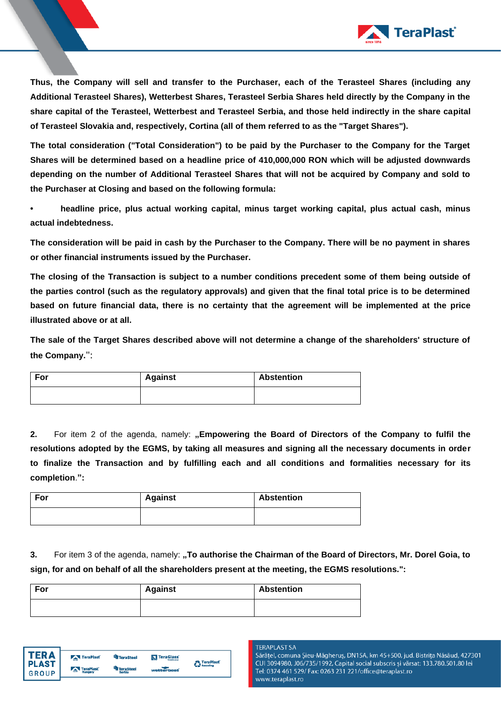

**Thus, the Company will sell and transfer to the Purchaser, each of the Terasteel Shares (including any Additional Terasteel Shares), Wetterbest Shares, Terasteel Serbia Shares held directly by the Company in the share capital of the Terasteel, Wetterbest and Terasteel Serbia, and those held indirectly in the share capital of Terasteel Slovakia and, respectively, Cortina (all of them referred to as the "Target Shares").**

**The total consideration ("Total Consideration") to be paid by the Purchaser to the Company for the Target Shares will be determined based on a headline price of 410,000,000 RON which will be adjusted downwards depending on the number of Additional Terasteel Shares that will not be acquired by Company and sold to the Purchaser at Closing and based on the following formula:**

**• headline price, plus actual working capital, minus target working capital, plus actual cash, minus actual indebtedness.**

**The consideration will be paid in cash by the Purchaser to the Company. There will be no payment in shares or other financial instruments issued by the Purchaser.**

**The closing of the Transaction is subject to a number conditions precedent some of them being outside of the parties control (such as the regulatory approvals) and given that the final total price is to be determined based on future financial data, there is no certainty that the agreement will be implemented at the price illustrated above or at all.**

**The sale of the Target Shares described above will not determine a change of the shareholders' structure of the Company.**":

| For | <b>Against</b> | <b>Abstention</b> |
|-----|----------------|-------------------|
|     |                |                   |

2. For item 2 of the agenda, namely: "Empowering the Board of Directors of the Company to fulfil the **resolutions adopted by the EGMS, by taking all measures and signing all the necessary documents in order to finalize the Transaction and by fulfilling each and all conditions and formalities necessary for its completion**.**":**

| For | <b>Against</b> | <b>Abstention</b> |
|-----|----------------|-------------------|
|     |                |                   |

**3.** For item 3 of the agenda, namely: "To authorise the Chairman of the Board of Directors, Mr. Dorel Goia, to **sign, for and on behalf of all the shareholders present at the meeting, the EGMS resolutions.":**

| For | <b>Against</b> | <b>Abstention</b> |  |
|-----|----------------|-------------------|--|
|     |                |                   |  |



#### **TERAPLAST SA**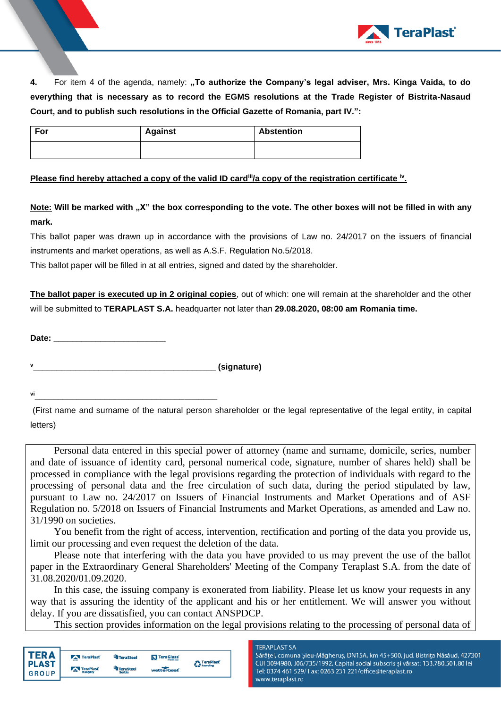

**4.** For item 4 of the agenda, namely: **"To authorize the Company's legal adviser, Mrs. Kinga Vaida, to do everything that is necessary as to record the EGMS resolutions at the Trade Register of Bistrita-Nasaud Court, and to publish such resolutions in the Official Gazette of Romania, part IV.":**

| For | <b>Against</b> | <b>Abstention</b> |
|-----|----------------|-------------------|
|     |                |                   |

# **Please find hereby attached a copy of the valid ID card<sup>iii</sup>/a copy of the registration certificate <sup>iv</sup>.**

**Note: Will be marked with "X" the box corresponding to the vote. The other boxes will not be filled in with any mark.** 

This ballot paper was drawn up in accordance with the provisions of Law no. 24/2017 on the issuers of financial instruments and market operations, as well as A.S.F. Regulation No.5/2018.

This ballot paper will be filled in at all entries, signed and dated by the shareholder.

**The ballot paper is executed up in 2 original copies**, out of which: one will remain at the shareholder and the other will be submitted to **TERAPLAST S.A.** headquarter not later than **29.08.2020, 08:00 am Romania time.** 

**Date: \_\_\_\_\_\_\_\_\_\_\_\_\_\_\_\_\_\_\_\_\_\_\_\_**

**<sup>v</sup>\_\_\_\_\_\_\_\_\_\_\_\_\_\_\_\_\_\_\_\_\_\_\_\_\_\_\_\_\_\_\_\_\_\_\_\_\_\_\_ (signature)**

**vi\_\_\_\_\_\_\_\_\_\_\_\_\_\_\_\_\_\_\_\_\_\_\_\_\_\_\_\_\_\_\_\_\_\_\_\_\_\_\_**

(First name and surname of the natural person shareholder or the legal representative of the legal entity, in capital letters)

Personal data entered in this special power of attorney (name and surname, domicile, series, number and date of issuance of identity card, personal numerical code, signature, number of shares held) shall be processed in compliance with the legal provisions regarding the protection of individuals with regard to the processing of personal data and the free circulation of such data, during the period stipulated by law, pursuant to Law no. 24/2017 on Issuers of Financial Instruments and Market Operations and of ASF Regulation no. 5/2018 on Issuers of Financial Instruments and Market Operations, as amended and Law no. 31/1990 on societies.

You benefit from the right of access, intervention, rectification and porting of the data you provide us, limit our processing and even request the deletion of the data.

Please note that interfering with the data you have provided to us may prevent the use of the ballot paper in the Extraordinary General Shareholders' Meeting of the Company Teraplast S.A. from the date of 31.08.2020/01.09.2020.

In this case, the issuing company is exonerated from liability. Please let us know your requests in any way that is assuring the identity of the applicant and his or her entitlement. We will answer you without delay. If you are dissatisfied, you can contact ANSPDCP.

This section provides information on the legal provisions relating to the processing of personal data of

| <b>TERA</b>                  | TeraPlast | <b>TeraSteel</b>           | <b>N</b> TeraGlass | <b>A</b> TeraPlast |
|------------------------------|-----------|----------------------------|--------------------|--------------------|
| <b>PLAST</b><br><b>GROUP</b> | TeraPlast | <b>TeraSteel</b><br>Serbia | wetterbeat         | <b>Recycling</b>   |

#### **TERAPLAST SA**